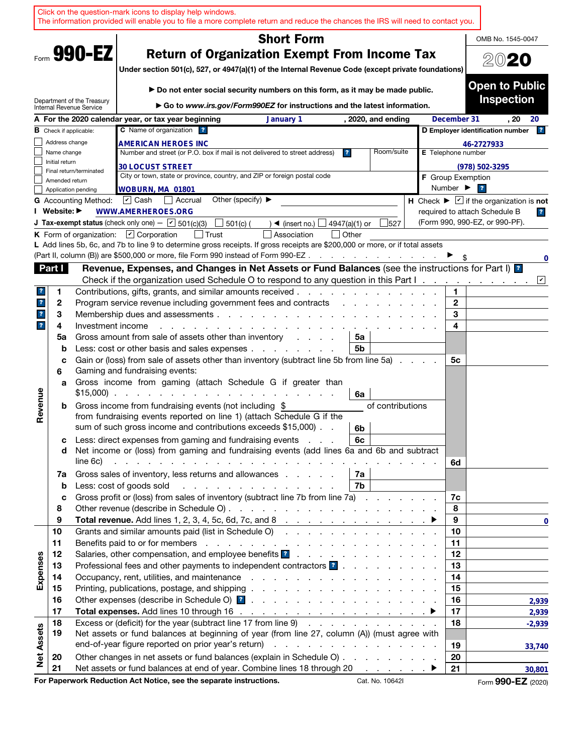| <b>Short Form</b><br>OMB No. 1545-0047<br>Form 990-EZ<br><b>Return of Organization Exempt From Income Tax</b><br>2020<br>Under section 501(c), 527, or 4947(a)(1) of the Internal Revenue Code (except private foundations)<br><b>Open to Public</b><br>▶ Do not enter social security numbers on this form, as it may be made public.<br><b>Inspection</b><br>Department of the Treasury<br>Go to www.irs.gov/Form990EZ for instructions and the latest information.<br>Internal Revenue Service<br>December 31<br>. 20<br>A For the 2020 calendar year, or tax year beginning<br>January 1<br>, 2020, and ending<br>20<br>C Name of organization ?<br>D Employer identification number<br> ? <br><b>B</b> Check if applicable:<br>Address change<br>46-2727933<br>AMERICAN HEROES INC<br>Number and street (or P.O. box if mail is not delivered to street address)<br>Room/suite<br>Name change<br>$\mathbf{r}$<br><b>E</b> Telephone number<br>Initial return<br><b>30 LOCUST STREET</b><br>(978) 502-3295<br>Final return/terminated<br>City or town, state or province, country, and ZIP or foreign postal code<br><b>F</b> Group Exemption<br>Amended return<br>Number $\blacktriangleright$<br>$\overline{ }$<br>WOBURN, MA 01801<br>Application pending<br>Other (specify) ▶<br>H Check $\blacktriangleright \boxed{\mathbf{v}}$ if the organization is not<br>$ v $ Cash<br>l Accrual<br><b>G</b> Accounting Method:<br>I Website: ▶<br><b>WWW.AMERHEROES.ORG</b><br>required to attach Schedule B<br>$\overline{r}$<br>(Form 990, 990-EZ, or 990-PF).<br><b>J Tax-exempt status</b> (check only one) $ \boxed{\phantom{0}}$ 501(c)(3)<br>$\Box$ 501(c) (<br>4947(a)(1) or<br>527<br>$\rightarrow$ (insert no.) $\parallel$<br>K Form of organization: $\boxed{V}$ Corporation<br>  Trust<br>Other<br>Association<br>L Add lines 5b, 6c, and 7b to line 9 to determine gross receipts. If gross receipts are \$200,000 or more, or if total assets<br>(Part II, column (B)) are \$500,000 or more, file Form 990 instead of Form 990-EZ<br>0<br>Revenue, Expenses, and Changes in Net Assets or Fund Balances (see the instructions for Part I) <sup>2</sup><br>Part I<br>Check if the organization used Schedule O to respond to any question in this Part I.<br>☑<br>Contributions, gifts, grants, and similar amounts received.<br>1<br>$\boldsymbol{r}$<br>1<br>the contract of the contract of the contract of<br>$\overline{\mathbf{r}}$<br>2<br>Program service revenue including government fees and contracts<br>2<br>3<br>3<br>Membership dues and assessments<br>$\mathbf{r}$<br>$\overline{\mathbf{r}}$<br>4<br>4<br>Investment income<br>Gross amount from sale of assets other than inventory<br>5a<br>5a<br>Less: cost or other basis and sales expenses<br>5b<br>b<br>Gain or (loss) from sale of assets other than inventory (subtract line 5b from line 5a)<br>5с<br>с<br>Gaming and fundraising events:<br>6<br>Gross income from gaming (attach Schedule G if greater than<br>a<br>Revenue<br>$$15,000$ ).<br>and the state of the state of the state of the<br>6a<br>of contributions<br>Gross income from fundraising events (not including \$<br>b<br>from fundraising events reported on line 1) (attach Schedule G if the<br>sum of such gross income and contributions exceeds \$15,000).<br>6b<br>Less: direct expenses from gaming and fundraising events<br>6c<br>с<br>Net income or (loss) from gaming and fundraising events (add lines 6a and 6b and subtract<br>d<br>line 6c)<br>and the contract of the contract of the contract of the contract of the contract of<br>6d<br>Gross sales of inventory, less returns and allowances<br>7a<br>7a<br>Less: cost of goods sold<br>7b<br>and the contract of the contract of the contract of<br>$\mathbf b$<br>Gross profit or (loss) from sales of inventory (subtract line 7b from line 7a)<br>7c<br>c<br>8<br>8<br>9<br>9<br>$\Omega$<br>Grants and similar amounts paid (list in Schedule O)<br>10<br>10<br>11<br>11<br>Salaries, other compensation, and employee benefits ?<br>12<br>12<br>Expenses<br>Professional fees and other payments to independent contractors ?<br>13<br>13<br>14<br>14<br>15<br>15<br>16<br>16<br>2,939<br>17<br>17<br>2,939<br>Excess or (deficit) for the year (subtract line 17 from line 9)<br>18<br>18<br>$-2,939$<br><b>Net Assets</b><br>19<br>Net assets or fund balances at beginning of year (from line 27, column (A)) (must agree with<br>19<br>33,740<br>Other changes in net assets or fund balances (explain in Schedule O)<br>20<br>20<br>Net assets or fund balances at end of year. Combine lines 18 through 20 ▶<br>21<br>21<br>30,801<br>For Paperwork Reduction Act Notice, see the separate instructions.<br>Cat. No. 10642I<br>Form 990-EZ (2020) |  |  |  | Click on the question-mark icons to display help windows.<br>The information provided will enable you to file a more complete return and reduce the chances the IRS will need to contact you. |  |  |  |  |
|-------------------------------------------------------------------------------------------------------------------------------------------------------------------------------------------------------------------------------------------------------------------------------------------------------------------------------------------------------------------------------------------------------------------------------------------------------------------------------------------------------------------------------------------------------------------------------------------------------------------------------------------------------------------------------------------------------------------------------------------------------------------------------------------------------------------------------------------------------------------------------------------------------------------------------------------------------------------------------------------------------------------------------------------------------------------------------------------------------------------------------------------------------------------------------------------------------------------------------------------------------------------------------------------------------------------------------------------------------------------------------------------------------------------------------------------------------------------------------------------------------------------------------------------------------------------------------------------------------------------------------------------------------------------------------------------------------------------------------------------------------------------------------------------------------------------------------------------------------------------------------------------------------------------------------------------------------------------------------------------------------------------------------------------------------------------------------------------------------------------------------------------------------------------------------------------------------------------------------------------------------------------------------------------------------------------------------------------------------------------------------------------------------------------------------------------------------------------------------------------------------------------------------------------------------------------------------------------------------------------------------------------------------------------------------------------------------------------------------------------------------------------------------------------------------------------------------------------------------------------------------------------------------------------------------------------------------------------------------------------------------------------------------------------------------------------------------------------------------------------------------------------------------------------------------------------------------------------------------------------------------------------------------------------------------------------------------------------------------------------------------------------------------------------------------------------------------------------------------------------------------------------------------------------------------------------------------------------------------------------------------------------------------------------------------------------------------------------------------------------------------------------------------------------------------------------------------------------------------------------------------------------------------------------------------------------------------------------------------------------------------------------------------------------------------------------------------------------------------------------------------------------------------------------------------------------------------------------------------------------------------------------------------------------------------------------------------------------------------------------------------------------------------------------------------------------------------------------------------------------------------------------------------------------------------------------------------------------------------------------------------------------------------------------------------------------------------------------------------------------------------------------------------------------------|--|--|--|-----------------------------------------------------------------------------------------------------------------------------------------------------------------------------------------------|--|--|--|--|
|                                                                                                                                                                                                                                                                                                                                                                                                                                                                                                                                                                                                                                                                                                                                                                                                                                                                                                                                                                                                                                                                                                                                                                                                                                                                                                                                                                                                                                                                                                                                                                                                                                                                                                                                                                                                                                                                                                                                                                                                                                                                                                                                                                                                                                                                                                                                                                                                                                                                                                                                                                                                                                                                                                                                                                                                                                                                                                                                                                                                                                                                                                                                                                                                                                                                                                                                                                                                                                                                                                                                                                                                                                                                                                                                                                                                                                                                                                                                                                                                                                                                                                                                                                                                                                                                                                                                                                                                                                                                                                                                                                                                                                                                                                                                                                                                 |  |  |  |                                                                                                                                                                                               |  |  |  |  |
|                                                                                                                                                                                                                                                                                                                                                                                                                                                                                                                                                                                                                                                                                                                                                                                                                                                                                                                                                                                                                                                                                                                                                                                                                                                                                                                                                                                                                                                                                                                                                                                                                                                                                                                                                                                                                                                                                                                                                                                                                                                                                                                                                                                                                                                                                                                                                                                                                                                                                                                                                                                                                                                                                                                                                                                                                                                                                                                                                                                                                                                                                                                                                                                                                                                                                                                                                                                                                                                                                                                                                                                                                                                                                                                                                                                                                                                                                                                                                                                                                                                                                                                                                                                                                                                                                                                                                                                                                                                                                                                                                                                                                                                                                                                                                                                                 |  |  |  |                                                                                                                                                                                               |  |  |  |  |
|                                                                                                                                                                                                                                                                                                                                                                                                                                                                                                                                                                                                                                                                                                                                                                                                                                                                                                                                                                                                                                                                                                                                                                                                                                                                                                                                                                                                                                                                                                                                                                                                                                                                                                                                                                                                                                                                                                                                                                                                                                                                                                                                                                                                                                                                                                                                                                                                                                                                                                                                                                                                                                                                                                                                                                                                                                                                                                                                                                                                                                                                                                                                                                                                                                                                                                                                                                                                                                                                                                                                                                                                                                                                                                                                                                                                                                                                                                                                                                                                                                                                                                                                                                                                                                                                                                                                                                                                                                                                                                                                                                                                                                                                                                                                                                                                 |  |  |  |                                                                                                                                                                                               |  |  |  |  |
|                                                                                                                                                                                                                                                                                                                                                                                                                                                                                                                                                                                                                                                                                                                                                                                                                                                                                                                                                                                                                                                                                                                                                                                                                                                                                                                                                                                                                                                                                                                                                                                                                                                                                                                                                                                                                                                                                                                                                                                                                                                                                                                                                                                                                                                                                                                                                                                                                                                                                                                                                                                                                                                                                                                                                                                                                                                                                                                                                                                                                                                                                                                                                                                                                                                                                                                                                                                                                                                                                                                                                                                                                                                                                                                                                                                                                                                                                                                                                                                                                                                                                                                                                                                                                                                                                                                                                                                                                                                                                                                                                                                                                                                                                                                                                                                                 |  |  |  |                                                                                                                                                                                               |  |  |  |  |
|                                                                                                                                                                                                                                                                                                                                                                                                                                                                                                                                                                                                                                                                                                                                                                                                                                                                                                                                                                                                                                                                                                                                                                                                                                                                                                                                                                                                                                                                                                                                                                                                                                                                                                                                                                                                                                                                                                                                                                                                                                                                                                                                                                                                                                                                                                                                                                                                                                                                                                                                                                                                                                                                                                                                                                                                                                                                                                                                                                                                                                                                                                                                                                                                                                                                                                                                                                                                                                                                                                                                                                                                                                                                                                                                                                                                                                                                                                                                                                                                                                                                                                                                                                                                                                                                                                                                                                                                                                                                                                                                                                                                                                                                                                                                                                                                 |  |  |  |                                                                                                                                                                                               |  |  |  |  |
|                                                                                                                                                                                                                                                                                                                                                                                                                                                                                                                                                                                                                                                                                                                                                                                                                                                                                                                                                                                                                                                                                                                                                                                                                                                                                                                                                                                                                                                                                                                                                                                                                                                                                                                                                                                                                                                                                                                                                                                                                                                                                                                                                                                                                                                                                                                                                                                                                                                                                                                                                                                                                                                                                                                                                                                                                                                                                                                                                                                                                                                                                                                                                                                                                                                                                                                                                                                                                                                                                                                                                                                                                                                                                                                                                                                                                                                                                                                                                                                                                                                                                                                                                                                                                                                                                                                                                                                                                                                                                                                                                                                                                                                                                                                                                                                                 |  |  |  |                                                                                                                                                                                               |  |  |  |  |
|                                                                                                                                                                                                                                                                                                                                                                                                                                                                                                                                                                                                                                                                                                                                                                                                                                                                                                                                                                                                                                                                                                                                                                                                                                                                                                                                                                                                                                                                                                                                                                                                                                                                                                                                                                                                                                                                                                                                                                                                                                                                                                                                                                                                                                                                                                                                                                                                                                                                                                                                                                                                                                                                                                                                                                                                                                                                                                                                                                                                                                                                                                                                                                                                                                                                                                                                                                                                                                                                                                                                                                                                                                                                                                                                                                                                                                                                                                                                                                                                                                                                                                                                                                                                                                                                                                                                                                                                                                                                                                                                                                                                                                                                                                                                                                                                 |  |  |  |                                                                                                                                                                                               |  |  |  |  |
|                                                                                                                                                                                                                                                                                                                                                                                                                                                                                                                                                                                                                                                                                                                                                                                                                                                                                                                                                                                                                                                                                                                                                                                                                                                                                                                                                                                                                                                                                                                                                                                                                                                                                                                                                                                                                                                                                                                                                                                                                                                                                                                                                                                                                                                                                                                                                                                                                                                                                                                                                                                                                                                                                                                                                                                                                                                                                                                                                                                                                                                                                                                                                                                                                                                                                                                                                                                                                                                                                                                                                                                                                                                                                                                                                                                                                                                                                                                                                                                                                                                                                                                                                                                                                                                                                                                                                                                                                                                                                                                                                                                                                                                                                                                                                                                                 |  |  |  |                                                                                                                                                                                               |  |  |  |  |
|                                                                                                                                                                                                                                                                                                                                                                                                                                                                                                                                                                                                                                                                                                                                                                                                                                                                                                                                                                                                                                                                                                                                                                                                                                                                                                                                                                                                                                                                                                                                                                                                                                                                                                                                                                                                                                                                                                                                                                                                                                                                                                                                                                                                                                                                                                                                                                                                                                                                                                                                                                                                                                                                                                                                                                                                                                                                                                                                                                                                                                                                                                                                                                                                                                                                                                                                                                                                                                                                                                                                                                                                                                                                                                                                                                                                                                                                                                                                                                                                                                                                                                                                                                                                                                                                                                                                                                                                                                                                                                                                                                                                                                                                                                                                                                                                 |  |  |  |                                                                                                                                                                                               |  |  |  |  |
|                                                                                                                                                                                                                                                                                                                                                                                                                                                                                                                                                                                                                                                                                                                                                                                                                                                                                                                                                                                                                                                                                                                                                                                                                                                                                                                                                                                                                                                                                                                                                                                                                                                                                                                                                                                                                                                                                                                                                                                                                                                                                                                                                                                                                                                                                                                                                                                                                                                                                                                                                                                                                                                                                                                                                                                                                                                                                                                                                                                                                                                                                                                                                                                                                                                                                                                                                                                                                                                                                                                                                                                                                                                                                                                                                                                                                                                                                                                                                                                                                                                                                                                                                                                                                                                                                                                                                                                                                                                                                                                                                                                                                                                                                                                                                                                                 |  |  |  |                                                                                                                                                                                               |  |  |  |  |
|                                                                                                                                                                                                                                                                                                                                                                                                                                                                                                                                                                                                                                                                                                                                                                                                                                                                                                                                                                                                                                                                                                                                                                                                                                                                                                                                                                                                                                                                                                                                                                                                                                                                                                                                                                                                                                                                                                                                                                                                                                                                                                                                                                                                                                                                                                                                                                                                                                                                                                                                                                                                                                                                                                                                                                                                                                                                                                                                                                                                                                                                                                                                                                                                                                                                                                                                                                                                                                                                                                                                                                                                                                                                                                                                                                                                                                                                                                                                                                                                                                                                                                                                                                                                                                                                                                                                                                                                                                                                                                                                                                                                                                                                                                                                                                                                 |  |  |  |                                                                                                                                                                                               |  |  |  |  |
|                                                                                                                                                                                                                                                                                                                                                                                                                                                                                                                                                                                                                                                                                                                                                                                                                                                                                                                                                                                                                                                                                                                                                                                                                                                                                                                                                                                                                                                                                                                                                                                                                                                                                                                                                                                                                                                                                                                                                                                                                                                                                                                                                                                                                                                                                                                                                                                                                                                                                                                                                                                                                                                                                                                                                                                                                                                                                                                                                                                                                                                                                                                                                                                                                                                                                                                                                                                                                                                                                                                                                                                                                                                                                                                                                                                                                                                                                                                                                                                                                                                                                                                                                                                                                                                                                                                                                                                                                                                                                                                                                                                                                                                                                                                                                                                                 |  |  |  |                                                                                                                                                                                               |  |  |  |  |
|                                                                                                                                                                                                                                                                                                                                                                                                                                                                                                                                                                                                                                                                                                                                                                                                                                                                                                                                                                                                                                                                                                                                                                                                                                                                                                                                                                                                                                                                                                                                                                                                                                                                                                                                                                                                                                                                                                                                                                                                                                                                                                                                                                                                                                                                                                                                                                                                                                                                                                                                                                                                                                                                                                                                                                                                                                                                                                                                                                                                                                                                                                                                                                                                                                                                                                                                                                                                                                                                                                                                                                                                                                                                                                                                                                                                                                                                                                                                                                                                                                                                                                                                                                                                                                                                                                                                                                                                                                                                                                                                                                                                                                                                                                                                                                                                 |  |  |  |                                                                                                                                                                                               |  |  |  |  |
|                                                                                                                                                                                                                                                                                                                                                                                                                                                                                                                                                                                                                                                                                                                                                                                                                                                                                                                                                                                                                                                                                                                                                                                                                                                                                                                                                                                                                                                                                                                                                                                                                                                                                                                                                                                                                                                                                                                                                                                                                                                                                                                                                                                                                                                                                                                                                                                                                                                                                                                                                                                                                                                                                                                                                                                                                                                                                                                                                                                                                                                                                                                                                                                                                                                                                                                                                                                                                                                                                                                                                                                                                                                                                                                                                                                                                                                                                                                                                                                                                                                                                                                                                                                                                                                                                                                                                                                                                                                                                                                                                                                                                                                                                                                                                                                                 |  |  |  |                                                                                                                                                                                               |  |  |  |  |
|                                                                                                                                                                                                                                                                                                                                                                                                                                                                                                                                                                                                                                                                                                                                                                                                                                                                                                                                                                                                                                                                                                                                                                                                                                                                                                                                                                                                                                                                                                                                                                                                                                                                                                                                                                                                                                                                                                                                                                                                                                                                                                                                                                                                                                                                                                                                                                                                                                                                                                                                                                                                                                                                                                                                                                                                                                                                                                                                                                                                                                                                                                                                                                                                                                                                                                                                                                                                                                                                                                                                                                                                                                                                                                                                                                                                                                                                                                                                                                                                                                                                                                                                                                                                                                                                                                                                                                                                                                                                                                                                                                                                                                                                                                                                                                                                 |  |  |  |                                                                                                                                                                                               |  |  |  |  |
|                                                                                                                                                                                                                                                                                                                                                                                                                                                                                                                                                                                                                                                                                                                                                                                                                                                                                                                                                                                                                                                                                                                                                                                                                                                                                                                                                                                                                                                                                                                                                                                                                                                                                                                                                                                                                                                                                                                                                                                                                                                                                                                                                                                                                                                                                                                                                                                                                                                                                                                                                                                                                                                                                                                                                                                                                                                                                                                                                                                                                                                                                                                                                                                                                                                                                                                                                                                                                                                                                                                                                                                                                                                                                                                                                                                                                                                                                                                                                                                                                                                                                                                                                                                                                                                                                                                                                                                                                                                                                                                                                                                                                                                                                                                                                                                                 |  |  |  |                                                                                                                                                                                               |  |  |  |  |
|                                                                                                                                                                                                                                                                                                                                                                                                                                                                                                                                                                                                                                                                                                                                                                                                                                                                                                                                                                                                                                                                                                                                                                                                                                                                                                                                                                                                                                                                                                                                                                                                                                                                                                                                                                                                                                                                                                                                                                                                                                                                                                                                                                                                                                                                                                                                                                                                                                                                                                                                                                                                                                                                                                                                                                                                                                                                                                                                                                                                                                                                                                                                                                                                                                                                                                                                                                                                                                                                                                                                                                                                                                                                                                                                                                                                                                                                                                                                                                                                                                                                                                                                                                                                                                                                                                                                                                                                                                                                                                                                                                                                                                                                                                                                                                                                 |  |  |  |                                                                                                                                                                                               |  |  |  |  |
|                                                                                                                                                                                                                                                                                                                                                                                                                                                                                                                                                                                                                                                                                                                                                                                                                                                                                                                                                                                                                                                                                                                                                                                                                                                                                                                                                                                                                                                                                                                                                                                                                                                                                                                                                                                                                                                                                                                                                                                                                                                                                                                                                                                                                                                                                                                                                                                                                                                                                                                                                                                                                                                                                                                                                                                                                                                                                                                                                                                                                                                                                                                                                                                                                                                                                                                                                                                                                                                                                                                                                                                                                                                                                                                                                                                                                                                                                                                                                                                                                                                                                                                                                                                                                                                                                                                                                                                                                                                                                                                                                                                                                                                                                                                                                                                                 |  |  |  |                                                                                                                                                                                               |  |  |  |  |
|                                                                                                                                                                                                                                                                                                                                                                                                                                                                                                                                                                                                                                                                                                                                                                                                                                                                                                                                                                                                                                                                                                                                                                                                                                                                                                                                                                                                                                                                                                                                                                                                                                                                                                                                                                                                                                                                                                                                                                                                                                                                                                                                                                                                                                                                                                                                                                                                                                                                                                                                                                                                                                                                                                                                                                                                                                                                                                                                                                                                                                                                                                                                                                                                                                                                                                                                                                                                                                                                                                                                                                                                                                                                                                                                                                                                                                                                                                                                                                                                                                                                                                                                                                                                                                                                                                                                                                                                                                                                                                                                                                                                                                                                                                                                                                                                 |  |  |  |                                                                                                                                                                                               |  |  |  |  |
|                                                                                                                                                                                                                                                                                                                                                                                                                                                                                                                                                                                                                                                                                                                                                                                                                                                                                                                                                                                                                                                                                                                                                                                                                                                                                                                                                                                                                                                                                                                                                                                                                                                                                                                                                                                                                                                                                                                                                                                                                                                                                                                                                                                                                                                                                                                                                                                                                                                                                                                                                                                                                                                                                                                                                                                                                                                                                                                                                                                                                                                                                                                                                                                                                                                                                                                                                                                                                                                                                                                                                                                                                                                                                                                                                                                                                                                                                                                                                                                                                                                                                                                                                                                                                                                                                                                                                                                                                                                                                                                                                                                                                                                                                                                                                                                                 |  |  |  |                                                                                                                                                                                               |  |  |  |  |
|                                                                                                                                                                                                                                                                                                                                                                                                                                                                                                                                                                                                                                                                                                                                                                                                                                                                                                                                                                                                                                                                                                                                                                                                                                                                                                                                                                                                                                                                                                                                                                                                                                                                                                                                                                                                                                                                                                                                                                                                                                                                                                                                                                                                                                                                                                                                                                                                                                                                                                                                                                                                                                                                                                                                                                                                                                                                                                                                                                                                                                                                                                                                                                                                                                                                                                                                                                                                                                                                                                                                                                                                                                                                                                                                                                                                                                                                                                                                                                                                                                                                                                                                                                                                                                                                                                                                                                                                                                                                                                                                                                                                                                                                                                                                                                                                 |  |  |  |                                                                                                                                                                                               |  |  |  |  |
|                                                                                                                                                                                                                                                                                                                                                                                                                                                                                                                                                                                                                                                                                                                                                                                                                                                                                                                                                                                                                                                                                                                                                                                                                                                                                                                                                                                                                                                                                                                                                                                                                                                                                                                                                                                                                                                                                                                                                                                                                                                                                                                                                                                                                                                                                                                                                                                                                                                                                                                                                                                                                                                                                                                                                                                                                                                                                                                                                                                                                                                                                                                                                                                                                                                                                                                                                                                                                                                                                                                                                                                                                                                                                                                                                                                                                                                                                                                                                                                                                                                                                                                                                                                                                                                                                                                                                                                                                                                                                                                                                                                                                                                                                                                                                                                                 |  |  |  |                                                                                                                                                                                               |  |  |  |  |
|                                                                                                                                                                                                                                                                                                                                                                                                                                                                                                                                                                                                                                                                                                                                                                                                                                                                                                                                                                                                                                                                                                                                                                                                                                                                                                                                                                                                                                                                                                                                                                                                                                                                                                                                                                                                                                                                                                                                                                                                                                                                                                                                                                                                                                                                                                                                                                                                                                                                                                                                                                                                                                                                                                                                                                                                                                                                                                                                                                                                                                                                                                                                                                                                                                                                                                                                                                                                                                                                                                                                                                                                                                                                                                                                                                                                                                                                                                                                                                                                                                                                                                                                                                                                                                                                                                                                                                                                                                                                                                                                                                                                                                                                                                                                                                                                 |  |  |  |                                                                                                                                                                                               |  |  |  |  |
|                                                                                                                                                                                                                                                                                                                                                                                                                                                                                                                                                                                                                                                                                                                                                                                                                                                                                                                                                                                                                                                                                                                                                                                                                                                                                                                                                                                                                                                                                                                                                                                                                                                                                                                                                                                                                                                                                                                                                                                                                                                                                                                                                                                                                                                                                                                                                                                                                                                                                                                                                                                                                                                                                                                                                                                                                                                                                                                                                                                                                                                                                                                                                                                                                                                                                                                                                                                                                                                                                                                                                                                                                                                                                                                                                                                                                                                                                                                                                                                                                                                                                                                                                                                                                                                                                                                                                                                                                                                                                                                                                                                                                                                                                                                                                                                                 |  |  |  |                                                                                                                                                                                               |  |  |  |  |
|                                                                                                                                                                                                                                                                                                                                                                                                                                                                                                                                                                                                                                                                                                                                                                                                                                                                                                                                                                                                                                                                                                                                                                                                                                                                                                                                                                                                                                                                                                                                                                                                                                                                                                                                                                                                                                                                                                                                                                                                                                                                                                                                                                                                                                                                                                                                                                                                                                                                                                                                                                                                                                                                                                                                                                                                                                                                                                                                                                                                                                                                                                                                                                                                                                                                                                                                                                                                                                                                                                                                                                                                                                                                                                                                                                                                                                                                                                                                                                                                                                                                                                                                                                                                                                                                                                                                                                                                                                                                                                                                                                                                                                                                                                                                                                                                 |  |  |  |                                                                                                                                                                                               |  |  |  |  |
|                                                                                                                                                                                                                                                                                                                                                                                                                                                                                                                                                                                                                                                                                                                                                                                                                                                                                                                                                                                                                                                                                                                                                                                                                                                                                                                                                                                                                                                                                                                                                                                                                                                                                                                                                                                                                                                                                                                                                                                                                                                                                                                                                                                                                                                                                                                                                                                                                                                                                                                                                                                                                                                                                                                                                                                                                                                                                                                                                                                                                                                                                                                                                                                                                                                                                                                                                                                                                                                                                                                                                                                                                                                                                                                                                                                                                                                                                                                                                                                                                                                                                                                                                                                                                                                                                                                                                                                                                                                                                                                                                                                                                                                                                                                                                                                                 |  |  |  |                                                                                                                                                                                               |  |  |  |  |
|                                                                                                                                                                                                                                                                                                                                                                                                                                                                                                                                                                                                                                                                                                                                                                                                                                                                                                                                                                                                                                                                                                                                                                                                                                                                                                                                                                                                                                                                                                                                                                                                                                                                                                                                                                                                                                                                                                                                                                                                                                                                                                                                                                                                                                                                                                                                                                                                                                                                                                                                                                                                                                                                                                                                                                                                                                                                                                                                                                                                                                                                                                                                                                                                                                                                                                                                                                                                                                                                                                                                                                                                                                                                                                                                                                                                                                                                                                                                                                                                                                                                                                                                                                                                                                                                                                                                                                                                                                                                                                                                                                                                                                                                                                                                                                                                 |  |  |  |                                                                                                                                                                                               |  |  |  |  |
|                                                                                                                                                                                                                                                                                                                                                                                                                                                                                                                                                                                                                                                                                                                                                                                                                                                                                                                                                                                                                                                                                                                                                                                                                                                                                                                                                                                                                                                                                                                                                                                                                                                                                                                                                                                                                                                                                                                                                                                                                                                                                                                                                                                                                                                                                                                                                                                                                                                                                                                                                                                                                                                                                                                                                                                                                                                                                                                                                                                                                                                                                                                                                                                                                                                                                                                                                                                                                                                                                                                                                                                                                                                                                                                                                                                                                                                                                                                                                                                                                                                                                                                                                                                                                                                                                                                                                                                                                                                                                                                                                                                                                                                                                                                                                                                                 |  |  |  |                                                                                                                                                                                               |  |  |  |  |
|                                                                                                                                                                                                                                                                                                                                                                                                                                                                                                                                                                                                                                                                                                                                                                                                                                                                                                                                                                                                                                                                                                                                                                                                                                                                                                                                                                                                                                                                                                                                                                                                                                                                                                                                                                                                                                                                                                                                                                                                                                                                                                                                                                                                                                                                                                                                                                                                                                                                                                                                                                                                                                                                                                                                                                                                                                                                                                                                                                                                                                                                                                                                                                                                                                                                                                                                                                                                                                                                                                                                                                                                                                                                                                                                                                                                                                                                                                                                                                                                                                                                                                                                                                                                                                                                                                                                                                                                                                                                                                                                                                                                                                                                                                                                                                                                 |  |  |  |                                                                                                                                                                                               |  |  |  |  |
|                                                                                                                                                                                                                                                                                                                                                                                                                                                                                                                                                                                                                                                                                                                                                                                                                                                                                                                                                                                                                                                                                                                                                                                                                                                                                                                                                                                                                                                                                                                                                                                                                                                                                                                                                                                                                                                                                                                                                                                                                                                                                                                                                                                                                                                                                                                                                                                                                                                                                                                                                                                                                                                                                                                                                                                                                                                                                                                                                                                                                                                                                                                                                                                                                                                                                                                                                                                                                                                                                                                                                                                                                                                                                                                                                                                                                                                                                                                                                                                                                                                                                                                                                                                                                                                                                                                                                                                                                                                                                                                                                                                                                                                                                                                                                                                                 |  |  |  |                                                                                                                                                                                               |  |  |  |  |
|                                                                                                                                                                                                                                                                                                                                                                                                                                                                                                                                                                                                                                                                                                                                                                                                                                                                                                                                                                                                                                                                                                                                                                                                                                                                                                                                                                                                                                                                                                                                                                                                                                                                                                                                                                                                                                                                                                                                                                                                                                                                                                                                                                                                                                                                                                                                                                                                                                                                                                                                                                                                                                                                                                                                                                                                                                                                                                                                                                                                                                                                                                                                                                                                                                                                                                                                                                                                                                                                                                                                                                                                                                                                                                                                                                                                                                                                                                                                                                                                                                                                                                                                                                                                                                                                                                                                                                                                                                                                                                                                                                                                                                                                                                                                                                                                 |  |  |  |                                                                                                                                                                                               |  |  |  |  |
|                                                                                                                                                                                                                                                                                                                                                                                                                                                                                                                                                                                                                                                                                                                                                                                                                                                                                                                                                                                                                                                                                                                                                                                                                                                                                                                                                                                                                                                                                                                                                                                                                                                                                                                                                                                                                                                                                                                                                                                                                                                                                                                                                                                                                                                                                                                                                                                                                                                                                                                                                                                                                                                                                                                                                                                                                                                                                                                                                                                                                                                                                                                                                                                                                                                                                                                                                                                                                                                                                                                                                                                                                                                                                                                                                                                                                                                                                                                                                                                                                                                                                                                                                                                                                                                                                                                                                                                                                                                                                                                                                                                                                                                                                                                                                                                                 |  |  |  |                                                                                                                                                                                               |  |  |  |  |
|                                                                                                                                                                                                                                                                                                                                                                                                                                                                                                                                                                                                                                                                                                                                                                                                                                                                                                                                                                                                                                                                                                                                                                                                                                                                                                                                                                                                                                                                                                                                                                                                                                                                                                                                                                                                                                                                                                                                                                                                                                                                                                                                                                                                                                                                                                                                                                                                                                                                                                                                                                                                                                                                                                                                                                                                                                                                                                                                                                                                                                                                                                                                                                                                                                                                                                                                                                                                                                                                                                                                                                                                                                                                                                                                                                                                                                                                                                                                                                                                                                                                                                                                                                                                                                                                                                                                                                                                                                                                                                                                                                                                                                                                                                                                                                                                 |  |  |  |                                                                                                                                                                                               |  |  |  |  |
|                                                                                                                                                                                                                                                                                                                                                                                                                                                                                                                                                                                                                                                                                                                                                                                                                                                                                                                                                                                                                                                                                                                                                                                                                                                                                                                                                                                                                                                                                                                                                                                                                                                                                                                                                                                                                                                                                                                                                                                                                                                                                                                                                                                                                                                                                                                                                                                                                                                                                                                                                                                                                                                                                                                                                                                                                                                                                                                                                                                                                                                                                                                                                                                                                                                                                                                                                                                                                                                                                                                                                                                                                                                                                                                                                                                                                                                                                                                                                                                                                                                                                                                                                                                                                                                                                                                                                                                                                                                                                                                                                                                                                                                                                                                                                                                                 |  |  |  |                                                                                                                                                                                               |  |  |  |  |
|                                                                                                                                                                                                                                                                                                                                                                                                                                                                                                                                                                                                                                                                                                                                                                                                                                                                                                                                                                                                                                                                                                                                                                                                                                                                                                                                                                                                                                                                                                                                                                                                                                                                                                                                                                                                                                                                                                                                                                                                                                                                                                                                                                                                                                                                                                                                                                                                                                                                                                                                                                                                                                                                                                                                                                                                                                                                                                                                                                                                                                                                                                                                                                                                                                                                                                                                                                                                                                                                                                                                                                                                                                                                                                                                                                                                                                                                                                                                                                                                                                                                                                                                                                                                                                                                                                                                                                                                                                                                                                                                                                                                                                                                                                                                                                                                 |  |  |  |                                                                                                                                                                                               |  |  |  |  |
|                                                                                                                                                                                                                                                                                                                                                                                                                                                                                                                                                                                                                                                                                                                                                                                                                                                                                                                                                                                                                                                                                                                                                                                                                                                                                                                                                                                                                                                                                                                                                                                                                                                                                                                                                                                                                                                                                                                                                                                                                                                                                                                                                                                                                                                                                                                                                                                                                                                                                                                                                                                                                                                                                                                                                                                                                                                                                                                                                                                                                                                                                                                                                                                                                                                                                                                                                                                                                                                                                                                                                                                                                                                                                                                                                                                                                                                                                                                                                                                                                                                                                                                                                                                                                                                                                                                                                                                                                                                                                                                                                                                                                                                                                                                                                                                                 |  |  |  |                                                                                                                                                                                               |  |  |  |  |
|                                                                                                                                                                                                                                                                                                                                                                                                                                                                                                                                                                                                                                                                                                                                                                                                                                                                                                                                                                                                                                                                                                                                                                                                                                                                                                                                                                                                                                                                                                                                                                                                                                                                                                                                                                                                                                                                                                                                                                                                                                                                                                                                                                                                                                                                                                                                                                                                                                                                                                                                                                                                                                                                                                                                                                                                                                                                                                                                                                                                                                                                                                                                                                                                                                                                                                                                                                                                                                                                                                                                                                                                                                                                                                                                                                                                                                                                                                                                                                                                                                                                                                                                                                                                                                                                                                                                                                                                                                                                                                                                                                                                                                                                                                                                                                                                 |  |  |  |                                                                                                                                                                                               |  |  |  |  |
|                                                                                                                                                                                                                                                                                                                                                                                                                                                                                                                                                                                                                                                                                                                                                                                                                                                                                                                                                                                                                                                                                                                                                                                                                                                                                                                                                                                                                                                                                                                                                                                                                                                                                                                                                                                                                                                                                                                                                                                                                                                                                                                                                                                                                                                                                                                                                                                                                                                                                                                                                                                                                                                                                                                                                                                                                                                                                                                                                                                                                                                                                                                                                                                                                                                                                                                                                                                                                                                                                                                                                                                                                                                                                                                                                                                                                                                                                                                                                                                                                                                                                                                                                                                                                                                                                                                                                                                                                                                                                                                                                                                                                                                                                                                                                                                                 |  |  |  |                                                                                                                                                                                               |  |  |  |  |
|                                                                                                                                                                                                                                                                                                                                                                                                                                                                                                                                                                                                                                                                                                                                                                                                                                                                                                                                                                                                                                                                                                                                                                                                                                                                                                                                                                                                                                                                                                                                                                                                                                                                                                                                                                                                                                                                                                                                                                                                                                                                                                                                                                                                                                                                                                                                                                                                                                                                                                                                                                                                                                                                                                                                                                                                                                                                                                                                                                                                                                                                                                                                                                                                                                                                                                                                                                                                                                                                                                                                                                                                                                                                                                                                                                                                                                                                                                                                                                                                                                                                                                                                                                                                                                                                                                                                                                                                                                                                                                                                                                                                                                                                                                                                                                                                 |  |  |  |                                                                                                                                                                                               |  |  |  |  |
|                                                                                                                                                                                                                                                                                                                                                                                                                                                                                                                                                                                                                                                                                                                                                                                                                                                                                                                                                                                                                                                                                                                                                                                                                                                                                                                                                                                                                                                                                                                                                                                                                                                                                                                                                                                                                                                                                                                                                                                                                                                                                                                                                                                                                                                                                                                                                                                                                                                                                                                                                                                                                                                                                                                                                                                                                                                                                                                                                                                                                                                                                                                                                                                                                                                                                                                                                                                                                                                                                                                                                                                                                                                                                                                                                                                                                                                                                                                                                                                                                                                                                                                                                                                                                                                                                                                                                                                                                                                                                                                                                                                                                                                                                                                                                                                                 |  |  |  |                                                                                                                                                                                               |  |  |  |  |
|                                                                                                                                                                                                                                                                                                                                                                                                                                                                                                                                                                                                                                                                                                                                                                                                                                                                                                                                                                                                                                                                                                                                                                                                                                                                                                                                                                                                                                                                                                                                                                                                                                                                                                                                                                                                                                                                                                                                                                                                                                                                                                                                                                                                                                                                                                                                                                                                                                                                                                                                                                                                                                                                                                                                                                                                                                                                                                                                                                                                                                                                                                                                                                                                                                                                                                                                                                                                                                                                                                                                                                                                                                                                                                                                                                                                                                                                                                                                                                                                                                                                                                                                                                                                                                                                                                                                                                                                                                                                                                                                                                                                                                                                                                                                                                                                 |  |  |  |                                                                                                                                                                                               |  |  |  |  |
|                                                                                                                                                                                                                                                                                                                                                                                                                                                                                                                                                                                                                                                                                                                                                                                                                                                                                                                                                                                                                                                                                                                                                                                                                                                                                                                                                                                                                                                                                                                                                                                                                                                                                                                                                                                                                                                                                                                                                                                                                                                                                                                                                                                                                                                                                                                                                                                                                                                                                                                                                                                                                                                                                                                                                                                                                                                                                                                                                                                                                                                                                                                                                                                                                                                                                                                                                                                                                                                                                                                                                                                                                                                                                                                                                                                                                                                                                                                                                                                                                                                                                                                                                                                                                                                                                                                                                                                                                                                                                                                                                                                                                                                                                                                                                                                                 |  |  |  |                                                                                                                                                                                               |  |  |  |  |
|                                                                                                                                                                                                                                                                                                                                                                                                                                                                                                                                                                                                                                                                                                                                                                                                                                                                                                                                                                                                                                                                                                                                                                                                                                                                                                                                                                                                                                                                                                                                                                                                                                                                                                                                                                                                                                                                                                                                                                                                                                                                                                                                                                                                                                                                                                                                                                                                                                                                                                                                                                                                                                                                                                                                                                                                                                                                                                                                                                                                                                                                                                                                                                                                                                                                                                                                                                                                                                                                                                                                                                                                                                                                                                                                                                                                                                                                                                                                                                                                                                                                                                                                                                                                                                                                                                                                                                                                                                                                                                                                                                                                                                                                                                                                                                                                 |  |  |  |                                                                                                                                                                                               |  |  |  |  |
|                                                                                                                                                                                                                                                                                                                                                                                                                                                                                                                                                                                                                                                                                                                                                                                                                                                                                                                                                                                                                                                                                                                                                                                                                                                                                                                                                                                                                                                                                                                                                                                                                                                                                                                                                                                                                                                                                                                                                                                                                                                                                                                                                                                                                                                                                                                                                                                                                                                                                                                                                                                                                                                                                                                                                                                                                                                                                                                                                                                                                                                                                                                                                                                                                                                                                                                                                                                                                                                                                                                                                                                                                                                                                                                                                                                                                                                                                                                                                                                                                                                                                                                                                                                                                                                                                                                                                                                                                                                                                                                                                                                                                                                                                                                                                                                                 |  |  |  |                                                                                                                                                                                               |  |  |  |  |
|                                                                                                                                                                                                                                                                                                                                                                                                                                                                                                                                                                                                                                                                                                                                                                                                                                                                                                                                                                                                                                                                                                                                                                                                                                                                                                                                                                                                                                                                                                                                                                                                                                                                                                                                                                                                                                                                                                                                                                                                                                                                                                                                                                                                                                                                                                                                                                                                                                                                                                                                                                                                                                                                                                                                                                                                                                                                                                                                                                                                                                                                                                                                                                                                                                                                                                                                                                                                                                                                                                                                                                                                                                                                                                                                                                                                                                                                                                                                                                                                                                                                                                                                                                                                                                                                                                                                                                                                                                                                                                                                                                                                                                                                                                                                                                                                 |  |  |  |                                                                                                                                                                                               |  |  |  |  |
|                                                                                                                                                                                                                                                                                                                                                                                                                                                                                                                                                                                                                                                                                                                                                                                                                                                                                                                                                                                                                                                                                                                                                                                                                                                                                                                                                                                                                                                                                                                                                                                                                                                                                                                                                                                                                                                                                                                                                                                                                                                                                                                                                                                                                                                                                                                                                                                                                                                                                                                                                                                                                                                                                                                                                                                                                                                                                                                                                                                                                                                                                                                                                                                                                                                                                                                                                                                                                                                                                                                                                                                                                                                                                                                                                                                                                                                                                                                                                                                                                                                                                                                                                                                                                                                                                                                                                                                                                                                                                                                                                                                                                                                                                                                                                                                                 |  |  |  |                                                                                                                                                                                               |  |  |  |  |
|                                                                                                                                                                                                                                                                                                                                                                                                                                                                                                                                                                                                                                                                                                                                                                                                                                                                                                                                                                                                                                                                                                                                                                                                                                                                                                                                                                                                                                                                                                                                                                                                                                                                                                                                                                                                                                                                                                                                                                                                                                                                                                                                                                                                                                                                                                                                                                                                                                                                                                                                                                                                                                                                                                                                                                                                                                                                                                                                                                                                                                                                                                                                                                                                                                                                                                                                                                                                                                                                                                                                                                                                                                                                                                                                                                                                                                                                                                                                                                                                                                                                                                                                                                                                                                                                                                                                                                                                                                                                                                                                                                                                                                                                                                                                                                                                 |  |  |  |                                                                                                                                                                                               |  |  |  |  |
|                                                                                                                                                                                                                                                                                                                                                                                                                                                                                                                                                                                                                                                                                                                                                                                                                                                                                                                                                                                                                                                                                                                                                                                                                                                                                                                                                                                                                                                                                                                                                                                                                                                                                                                                                                                                                                                                                                                                                                                                                                                                                                                                                                                                                                                                                                                                                                                                                                                                                                                                                                                                                                                                                                                                                                                                                                                                                                                                                                                                                                                                                                                                                                                                                                                                                                                                                                                                                                                                                                                                                                                                                                                                                                                                                                                                                                                                                                                                                                                                                                                                                                                                                                                                                                                                                                                                                                                                                                                                                                                                                                                                                                                                                                                                                                                                 |  |  |  |                                                                                                                                                                                               |  |  |  |  |
|                                                                                                                                                                                                                                                                                                                                                                                                                                                                                                                                                                                                                                                                                                                                                                                                                                                                                                                                                                                                                                                                                                                                                                                                                                                                                                                                                                                                                                                                                                                                                                                                                                                                                                                                                                                                                                                                                                                                                                                                                                                                                                                                                                                                                                                                                                                                                                                                                                                                                                                                                                                                                                                                                                                                                                                                                                                                                                                                                                                                                                                                                                                                                                                                                                                                                                                                                                                                                                                                                                                                                                                                                                                                                                                                                                                                                                                                                                                                                                                                                                                                                                                                                                                                                                                                                                                                                                                                                                                                                                                                                                                                                                                                                                                                                                                                 |  |  |  |                                                                                                                                                                                               |  |  |  |  |
|                                                                                                                                                                                                                                                                                                                                                                                                                                                                                                                                                                                                                                                                                                                                                                                                                                                                                                                                                                                                                                                                                                                                                                                                                                                                                                                                                                                                                                                                                                                                                                                                                                                                                                                                                                                                                                                                                                                                                                                                                                                                                                                                                                                                                                                                                                                                                                                                                                                                                                                                                                                                                                                                                                                                                                                                                                                                                                                                                                                                                                                                                                                                                                                                                                                                                                                                                                                                                                                                                                                                                                                                                                                                                                                                                                                                                                                                                                                                                                                                                                                                                                                                                                                                                                                                                                                                                                                                                                                                                                                                                                                                                                                                                                                                                                                                 |  |  |  |                                                                                                                                                                                               |  |  |  |  |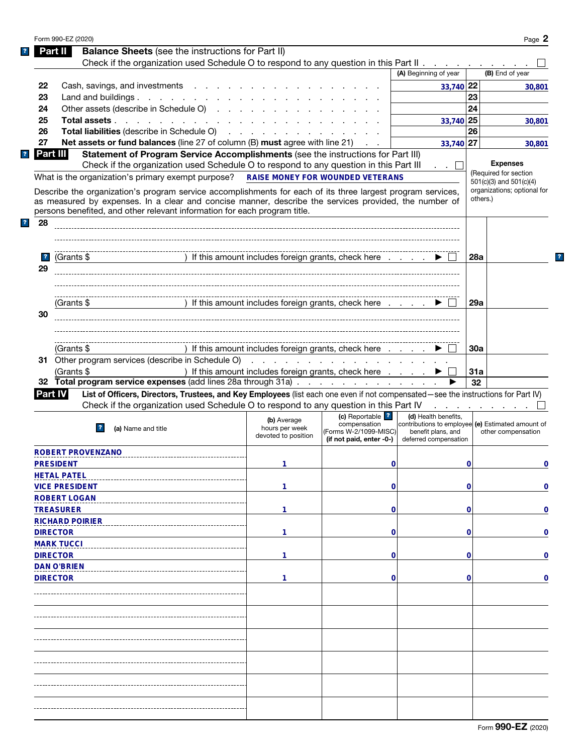|                         | Form 990-EZ (2020)                                                                                                                                                                 |                                                      |                          |                                                   |            | Page 2                                  |
|-------------------------|------------------------------------------------------------------------------------------------------------------------------------------------------------------------------------|------------------------------------------------------|--------------------------|---------------------------------------------------|------------|-----------------------------------------|
|                         | <b>Balance Sheets</b> (see the instructions for Part II)<br>Part II                                                                                                                |                                                      |                          |                                                   |            |                                         |
|                         | Check if the organization used Schedule O to respond to any question in this Part II                                                                                               |                                                      |                          |                                                   |            |                                         |
|                         |                                                                                                                                                                                    |                                                      |                          | (A) Beginning of year                             |            | (B) End of year                         |
| 22                      | Cash, savings, and investments                                                                                                                                                     |                                                      |                          | 33,740 22                                         |            | 30,801                                  |
| 23                      | Land and buildings.                                                                                                                                                                |                                                      |                          |                                                   | 23         |                                         |
| 24                      | Other assets (describe in Schedule O)                                                                                                                                              |                                                      |                          |                                                   | 24         |                                         |
| 25                      | Total assets                                                                                                                                                                       |                                                      |                          | 33,740 25                                         |            | 30.801                                  |
| 26                      | Total liabilities (describe in Schedule O)                                                                                                                                         |                                                      |                          |                                                   | 26         |                                         |
| 27                      | <b>Net assets or fund balances</b> (line 27 of column (B) must agree with line 21)                                                                                                 |                                                      |                          | 33,740 27                                         |            | 30,801                                  |
| Part III                | Statement of Program Service Accomplishments (see the instructions for Part III)                                                                                                   |                                                      |                          |                                                   |            |                                         |
|                         | Check if the organization used Schedule O to respond to any question in this Part III                                                                                              |                                                      |                          | $\cdot$ $\cdot$ $\cdot$ $\cdot$                   |            | <b>Expenses</b>                         |
|                         | What is the organization's primary exempt purpose?                                                                                                                                 | <b>RAISE MONEY FOR WOUNDED VETERANS</b>              |                          |                                                   |            | (Required for section                   |
|                         |                                                                                                                                                                                    |                                                      |                          |                                                   |            | 501(c)(3) and 501(c)(4)                 |
|                         | Describe the organization's program service accomplishments for each of its three largest program services,                                                                        |                                                      |                          |                                                   |            | organizations; optional for<br>others.) |
|                         | as measured by expenses. In a clear and concise manner, describe the services provided, the number of<br>persons benefited, and other relevant information for each program title. |                                                      |                          |                                                   |            |                                         |
|                         |                                                                                                                                                                                    |                                                      |                          |                                                   |            |                                         |
| 28                      |                                                                                                                                                                                    |                                                      |                          |                                                   |            |                                         |
|                         |                                                                                                                                                                                    |                                                      |                          |                                                   |            |                                         |
|                         |                                                                                                                                                                                    |                                                      |                          |                                                   |            |                                         |
| $\overline{\mathbf{r}}$ | (Grants \$                                                                                                                                                                         | ) If this amount includes foreign grants, check here |                          |                                                   | 28a        |                                         |
| 29                      |                                                                                                                                                                                    |                                                      |                          |                                                   |            |                                         |
|                         |                                                                                                                                                                                    |                                                      |                          |                                                   |            |                                         |
|                         |                                                                                                                                                                                    |                                                      |                          |                                                   |            |                                         |
|                         | (Grants \$                                                                                                                                                                         | ) If this amount includes foreign grants, check here |                          |                                                   | 29a        |                                         |
| 30                      |                                                                                                                                                                                    |                                                      |                          |                                                   |            |                                         |
|                         |                                                                                                                                                                                    |                                                      |                          |                                                   |            |                                         |
|                         |                                                                                                                                                                                    |                                                      |                          |                                                   |            |                                         |
|                         | (Grants \$                                                                                                                                                                         | ) If this amount includes foreign grants, check here |                          |                                                   | <b>30a</b> |                                         |
|                         | 31 Other program services (describe in Schedule O)                                                                                                                                 |                                                      |                          |                                                   |            |                                         |
|                         | (Grants \$                                                                                                                                                                         | ) If this amount includes foreign grants, check here |                          |                                                   | 31a        |                                         |
|                         | 32 Total program service expenses (add lines 28a through 31a)                                                                                                                      |                                                      |                          |                                                   | 32         |                                         |
| <b>Part IV</b>          | List of Officers, Directors, Trustees, and Key Employees (list each one even if not compensated-see the instructions for Part IV)                                                  |                                                      |                          |                                                   |            |                                         |
|                         | Check if the organization used Schedule O to respond to any question in this Part IV                                                                                               |                                                      |                          |                                                   |            | and the company of the company of       |
|                         |                                                                                                                                                                                    |                                                      | (c) Reportable ?         | (d) Health benefits,                              |            |                                         |
|                         | 2                                                                                                                                                                                  | (b) Average<br>hours per week                        | compensation             | contributions to employee (e) Estimated amount of |            |                                         |
|                         | (a) Name and title                                                                                                                                                                 | devoted to position                                  | (Forms W-2/1099-MISC)    | benefit plans, and                                |            | other compensation                      |
|                         |                                                                                                                                                                                    |                                                      | (if not paid, enter -0-) | deferred compensation                             |            |                                         |
|                         | <b>ROBERT PROVENZANO</b>                                                                                                                                                           |                                                      |                          |                                                   |            |                                         |
|                         | <b>PRESIDENT</b>                                                                                                                                                                   | 1                                                    | 0                        |                                                   | 0          | 0                                       |
|                         | <b>HETAL PATEL</b>                                                                                                                                                                 |                                                      |                          |                                                   |            |                                         |
|                         | <b>VICE PRESIDENT</b>                                                                                                                                                              | 1                                                    | $\mathbf 0$              |                                                   | 0          | $\mathbf 0$                             |
|                         | <b>ROBERT LOGAN</b>                                                                                                                                                                |                                                      |                          |                                                   |            |                                         |
|                         | <b>TREASURER</b>                                                                                                                                                                   | 1                                                    | $\mathbf 0$              |                                                   | 0          | $\mathbf 0$                             |
|                         | <b>RICHARD POIRIER</b>                                                                                                                                                             |                                                      |                          |                                                   |            |                                         |
|                         | <b>DIRECTOR</b>                                                                                                                                                                    | 1                                                    | $\mathbf 0$              |                                                   | 0          | $\mathbf 0$                             |
|                         | <b>MARK TUCCI</b>                                                                                                                                                                  |                                                      |                          |                                                   |            |                                         |
|                         | <b>DIRECTOR</b>                                                                                                                                                                    | 1                                                    | $\mathbf 0$              |                                                   | 0          | $\mathbf 0$                             |
|                         |                                                                                                                                                                                    |                                                      |                          |                                                   |            |                                         |
|                         | <b>DAN O'BRIEN</b>                                                                                                                                                                 |                                                      |                          |                                                   |            |                                         |
|                         | <b>DIRECTOR</b>                                                                                                                                                                    | 1                                                    | $\mathbf 0$              |                                                   | 0          | $\mathbf 0$                             |
|                         |                                                                                                                                                                                    |                                                      |                          |                                                   |            |                                         |
|                         |                                                                                                                                                                                    |                                                      |                          |                                                   |            |                                         |
|                         |                                                                                                                                                                                    |                                                      |                          |                                                   |            |                                         |
|                         |                                                                                                                                                                                    |                                                      |                          |                                                   |            |                                         |
|                         |                                                                                                                                                                                    |                                                      |                          |                                                   |            |                                         |
|                         |                                                                                                                                                                                    |                                                      |                          |                                                   |            |                                         |
|                         |                                                                                                                                                                                    |                                                      |                          |                                                   |            |                                         |
|                         |                                                                                                                                                                                    |                                                      |                          |                                                   |            |                                         |
|                         |                                                                                                                                                                                    |                                                      |                          |                                                   |            |                                         |
|                         |                                                                                                                                                                                    |                                                      |                          |                                                   |            |                                         |
|                         |                                                                                                                                                                                    |                                                      |                          |                                                   |            |                                         |
|                         |                                                                                                                                                                                    |                                                      |                          |                                                   |            |                                         |
|                         |                                                                                                                                                                                    |                                                      |                          |                                                   |            |                                         |

 $\mathbf{?}$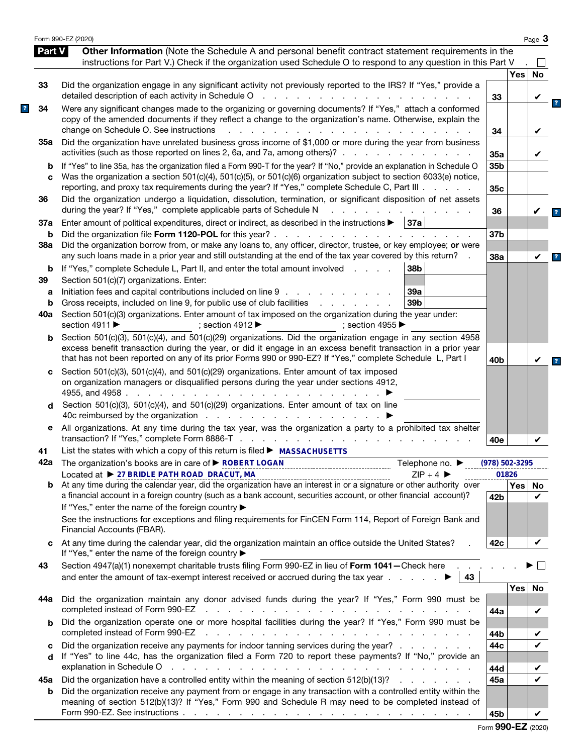|          | Form 990-EZ (2020)                                                                                                                                                                                                                                                                                                                                                             |                    |            | Page 3       |
|----------|--------------------------------------------------------------------------------------------------------------------------------------------------------------------------------------------------------------------------------------------------------------------------------------------------------------------------------------------------------------------------------|--------------------|------------|--------------|
| Part V   | Other Information (Note the Schedule A and personal benefit contract statement requirements in the<br>instructions for Part V.) Check if the organization used Schedule O to respond to any question in this Part V                                                                                                                                                            |                    |            | $\mathsf{L}$ |
|          |                                                                                                                                                                                                                                                                                                                                                                                |                    | <b>Yes</b> | No           |
| 33       | Did the organization engage in any significant activity not previously reported to the IRS? If "Yes," provide a<br>detailed description of each activity in Schedule O<br>and a series of the con-<br>$\sim 10^{-1}$                                                                                                                                                           | 33                 |            |              |
| 34       | Were any significant changes made to the organizing or governing documents? If "Yes," attach a conformed<br>copy of the amended documents if they reflect a change to the organization's name. Otherwise, explain the<br>change on Schedule O. See instructions<br>$\mathbf{L}$                                                                                                | 34                 |            | V            |
| 35а      | Did the organization have unrelated business gross income of \$1,000 or more during the year from business<br>activities (such as those reported on lines 2, 6a, and 7a, among others)?                                                                                                                                                                                        | 35a                |            | V            |
| b<br>C   | If "Yes" to line 35a, has the organization filed a Form 990-T for the year? If "No," provide an explanation in Schedule O<br>Was the organization a section 501(c)(4), 501(c)(5), or 501(c)(6) organization subject to section 6033(e) notice,<br>reporting, and proxy tax requirements during the year? If "Yes," complete Schedule C, Part III                               | 35b<br>35c         |            |              |
| 36       | Did the organization undergo a liquidation, dissolution, termination, or significant disposition of net assets<br>during the year? If "Yes," complete applicable parts of Schedule N                                                                                                                                                                                           | 36                 |            |              |
| 37a      | Enter amount of political expenditures, direct or indirect, as described in the instructions $\blacktriangleright$   37a                                                                                                                                                                                                                                                       |                    |            |              |
| b<br>38a | Did the organization file Form 1120-POL for this year?.<br>and the contract of the contract of the contract of<br>Did the organization borrow from, or make any loans to, any officer, director, trustee, or key employee; or were                                                                                                                                             | 37b                |            |              |
|          | any such loans made in a prior year and still outstanding at the end of the tax year covered by this return?                                                                                                                                                                                                                                                                   | 38a                |            | V            |
| b<br>39  | If "Yes," complete Schedule L, Part II, and enter the total amount involved<br>38b<br>Section 501(c)(7) organizations. Enter:                                                                                                                                                                                                                                                  |                    |            |              |
| a        | Initiation fees and capital contributions included on line 9<br>39a                                                                                                                                                                                                                                                                                                            |                    |            |              |
| b        | Gross receipts, included on line 9, for public use of club facilities<br>39 <sub>b</sub><br>and a state of the state of the                                                                                                                                                                                                                                                    |                    |            |              |
| 40a      | Section 501(c)(3) organizations. Enter amount of tax imposed on the organization during the year under:<br>section 4911 ▶<br>; section 4912 $\blacktriangleright$<br>: section 4955 $\blacktriangleright$                                                                                                                                                                      |                    |            |              |
| b        | Section 501(c)(3), 501(c)(4), and 501(c)(29) organizations. Did the organization engage in any section 4958<br>excess benefit transaction during the year, or did it engage in an excess benefit transaction in a prior year<br>that has not been reported on any of its prior Forms 990 or 990-EZ? If "Yes," complete Schedule L, Part I                                      | 40 <sub>b</sub>    |            | V            |
| c        | Section 501(c)(3), 501(c)(4), and 501(c)(29) organizations. Enter amount of tax imposed<br>on organization managers or disqualified persons during the year under sections 4912,<br>4955, and 4958.<br>and a state of the state of the state                                                                                                                                   |                    |            |              |
| d        | Section 501(c)(3), 501(c)(4), and 501(c)(29) organizations. Enter amount of tax on line<br>40c reimbursed by the organization                                                                                                                                                                                                                                                  |                    |            |              |
| е        | All organizations. At any time during the tax year, was the organization a party to a prohibited tax shelter<br>transaction? If "Yes," complete Form 8886-T<br>the contract of the contract of the contract of                                                                                                                                                                 | 40e                |            | V            |
| 41       | List the states with which a copy of this return is filed ▶ MASSACHUSETTS                                                                                                                                                                                                                                                                                                      |                    |            |              |
|          | 42a The organization's books are in care of ▶ ROBERT LOGAN<br>Telephone no. $\blacktriangleright$                                                                                                                                                                                                                                                                              | $(978) 502 - 3295$ |            |              |
|          | Located at ▶ 27 BRIDLE PATH ROAD DRACUT, MA<br>$ZIP + 4$<br>Located at $\triangleright$ 27 BRIDLE PATH ROAD DRACUT, MA<br>At any time during the calendar year, did the organization have an interest in or a signature or other authority over                                                                                                                                |                    | 01826      |              |
| b        | a financial account in a foreign country (such as a bank account, securities account, or other financial account)?<br>If "Yes," enter the name of the foreign country ▶                                                                                                                                                                                                        | 42 <sub>b</sub>    | <b>Yes</b> | No<br>V      |
|          | See the instructions for exceptions and filing requirements for FinCEN Form 114, Report of Foreign Bank and<br>Financial Accounts (FBAR).                                                                                                                                                                                                                                      |                    |            |              |
| C        | At any time during the calendar year, did the organization maintain an office outside the United States?<br>If "Yes," enter the name of the foreign country ▶                                                                                                                                                                                                                  | 42c                |            | V            |
| 43       | Section 4947(a)(1) nonexempt charitable trusts filing Form 990-EZ in lieu of Form 1041-Check here.<br>and enter the amount of tax-exempt interest received or accrued during the tax year $\ldots$ .<br>43                                                                                                                                                                     |                    |            |              |
|          | Did the organization maintain any donor advised funds during the year? If "Yes," Form 990 must be                                                                                                                                                                                                                                                                              |                    | <b>Yes</b> | No           |
| 44а      | completed instead of Form 990-EZ<br>the contract of the contract of the contract of the contract of the contract of the contract of the contract of                                                                                                                                                                                                                            | 44a                |            | V            |
| b        | Did the organization operate one or more hospital facilities during the year? If "Yes," Form 990 must be<br>completed instead of Form 990-EZ<br>and a complete the control of the complete state of the complete state of the complete state of the complete state of the complete state of the complete state of the complete state of the complete state of the complete sta |                    |            | V            |
| c        | Did the organization receive any payments for indoor tanning services during the year?                                                                                                                                                                                                                                                                                         | 44b<br>44c         |            | V            |
| d        | If "Yes" to line 44c, has the organization filed a Form 720 to report these payments? If "No," provide an<br>explanation in Schedule O<br>والمتعاون والمتعاون والمتعاون والمتعاون والمتعاون والمتعاون والمتعاون والمتعاون والمتعاون والمتعاون                                                                                                                                  | 44d                |            |              |
| 45а      | Did the organization have a controlled entity within the meaning of section 512(b)(13)?                                                                                                                                                                                                                                                                                        | 45а                |            | ✓            |
| b        | Did the organization receive any payment from or engage in any transaction with a controlled entity within the<br>meaning of section 512(b)(13)? If "Yes," Form 990 and Schedule R may need to be completed instead of                                                                                                                                                         |                    |            |              |
|          |                                                                                                                                                                                                                                                                                                                                                                                | 45b                |            | V            |

|  |  |  | Form 990-EZ (2020) |
|--|--|--|--------------------|
|--|--|--|--------------------|